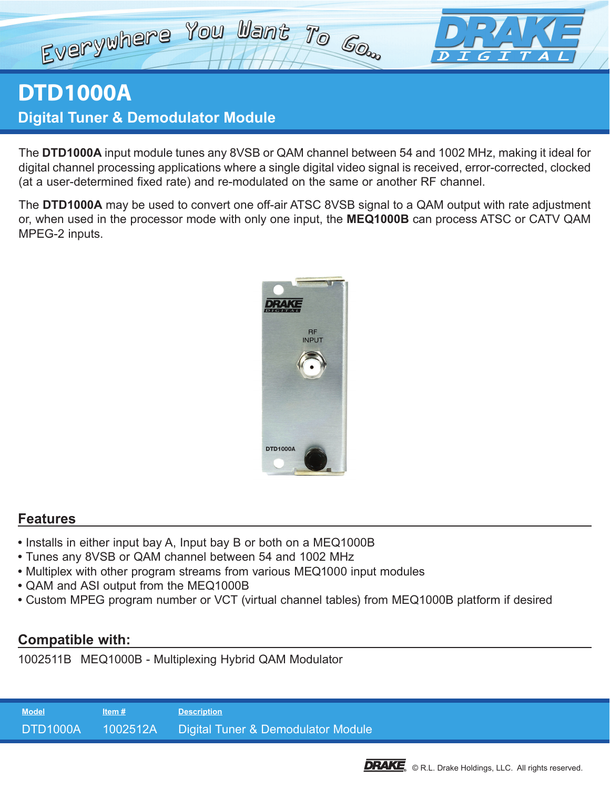## Everywhere You Want To Go.  $\boldsymbol{D}$ GI

# **DTD1000A Digital Tuner & Demodulator Module**

The **DTD1000A** input module tunes any 8VSB or QAM channel between 54 and 1002 MHz, making it ideal for digital channel processing applications where a single digital video signal is received, error-corrected, clocked (at a user-determined fixed rate) and re-modulated on the same or another RF channel.

The **DTD1000A** may be used to convert one off-air ATSC 8VSB signal to a QAM output with rate adjustment or, when used in the processor mode with only one input, the **MEQ1000B** can process ATSC or CATV QAM MPEG-2 inputs.



### **Features**

- **•** Installs in either input bay A, Input bay B or both on a MEQ1000B
- **•** Tunes any 8VSB or QAM channel between 54 and 1002 MHz
- **•** Multiplex with other program streams from various MEQ1000 input modules
- **•** QAM and ASI output from the MEQ1000B
- **•** Custom MPEG program number or VCT (virtual channel tables) from MEQ1000B platform if desired

### **Compatible with:**

1002511B MEQ1000B - Multiplexing Hybrid QAM Modulator

**Model Item # Description** DTD1000A 1002512A Digital Tuner & Demodulator Module